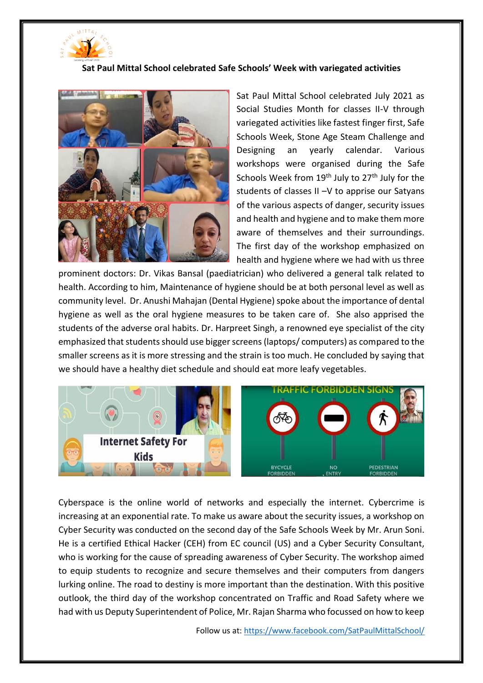

## **Sat Paul Mittal School celebrated Safe Schools' Week with variegated activities**



Sat Paul Mittal School celebrated July 2021 as Social Studies Month for classes II-V through variegated activities like fastest finger first, Safe Schools Week, Stone Age Steam Challenge and Designing an yearly calendar. Various workshops were organised during the Safe Schools Week from  $19<sup>th</sup>$  July to  $27<sup>th</sup>$  July for the students of classes II –V to apprise our Satyans of the various aspects of danger, security issues and health and hygiene and to make them more aware of themselves and their surroundings. The first day of the workshop emphasized on health and hygiene where we had with us three

prominent doctors: Dr. Vikas Bansal (paediatrician) who delivered a general talk related to health. According to him, Maintenance of hygiene should be at both personal level as well as community level. Dr. Anushi Mahajan (Dental Hygiene) spoke about the importance of dental hygiene as well as the oral hygiene measures to be taken care of. She also apprised the students of the adverse oral habits. Dr. Harpreet Singh, a renowned eye specialist of the city emphasized that students should use bigger screens (laptops/ computers) as compared to the smaller screens as it is more stressing and the strain is too much. He concluded by saying that we should have a healthy diet schedule and should eat more leafy vegetables.



Cyberspace is the online world of networks and especially the internet. Cybercrime is increasing at an exponential rate. To make us aware about the security issues, a workshop on Cyber Security was conducted on the second day of the Safe Schools Week by Mr. Arun Soni. He is a certified Ethical Hacker (CEH) from EC council (US) and a Cyber Security Consultant, who is working for the cause of spreading awareness of Cyber Security. The workshop aimed to equip students to recognize and secure themselves and their computers from dangers lurking online. The road to destiny is more important than the destination. With this positive outlook, the third day of the workshop concentrated on Traffic and Road Safety where we had with us Deputy Superintendent of Police, Mr. Rajan Sharma who focussed on how to keep

Follow us at[: https://www.facebook.com/SatPaulMittalSchool/](https://www.facebook.com/SatPaulMittalSchool/)